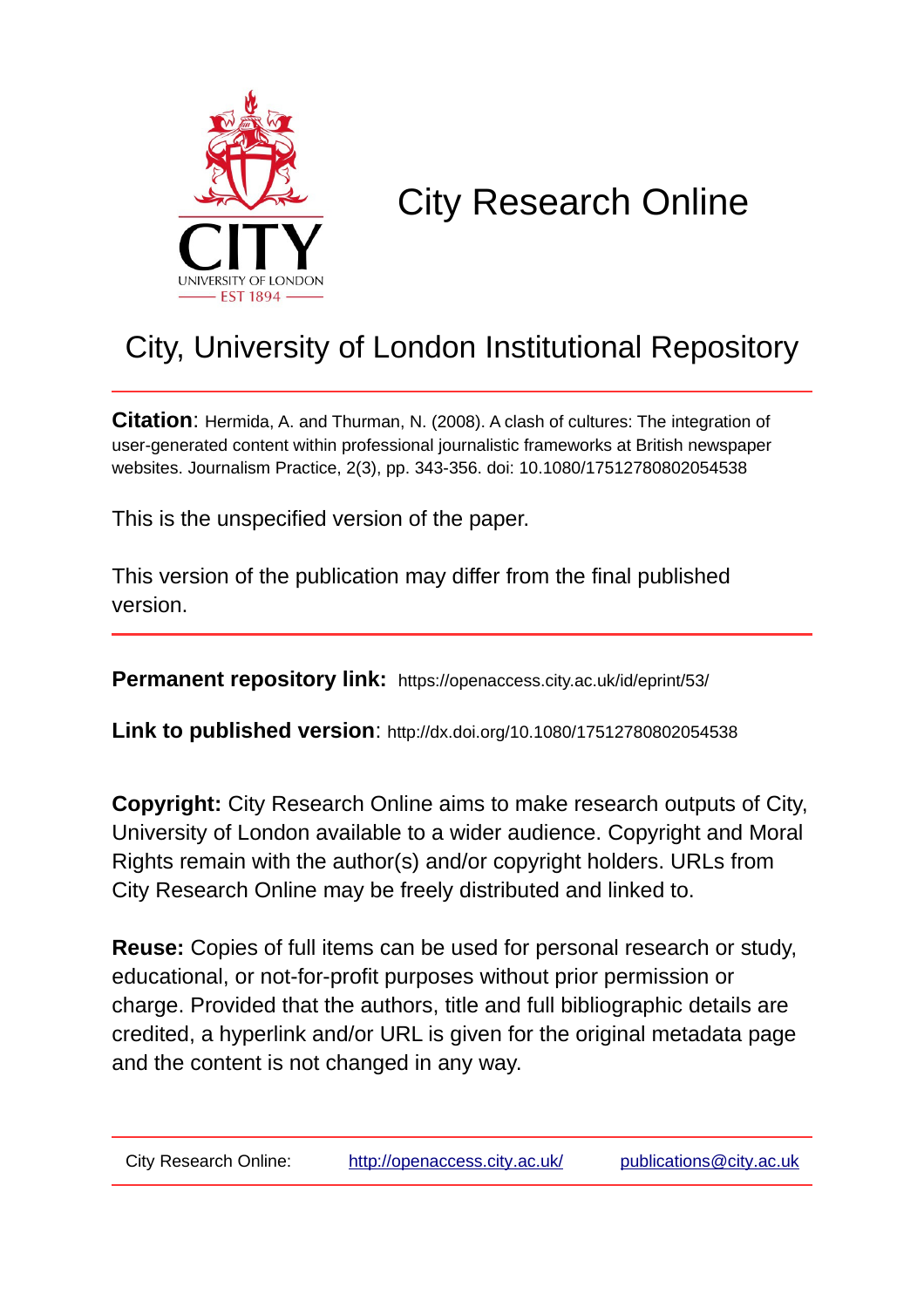

# City Research Online

# City, University of London Institutional Repository

**Citation**: Hermida, A. and Thurman, N. (2008). A clash of cultures: The integration of user-generated content within professional journalistic frameworks at British newspaper websites. Journalism Practice, 2(3), pp. 343-356. doi: 10.1080/17512780802054538

This is the unspecified version of the paper.

This version of the publication may differ from the final published version.

**Permanent repository link:** https://openaccess.city.ac.uk/id/eprint/53/

**Link to published version**: http://dx.doi.org/10.1080/17512780802054538

**Copyright:** City Research Online aims to make research outputs of City, University of London available to a wider audience. Copyright and Moral Rights remain with the author(s) and/or copyright holders. URLs from City Research Online may be freely distributed and linked to.

**Reuse:** Copies of full items can be used for personal research or study, educational, or not-for-profit purposes without prior permission or charge. Provided that the authors, title and full bibliographic details are credited, a hyperlink and/or URL is given for the original metadata page and the content is not changed in any way.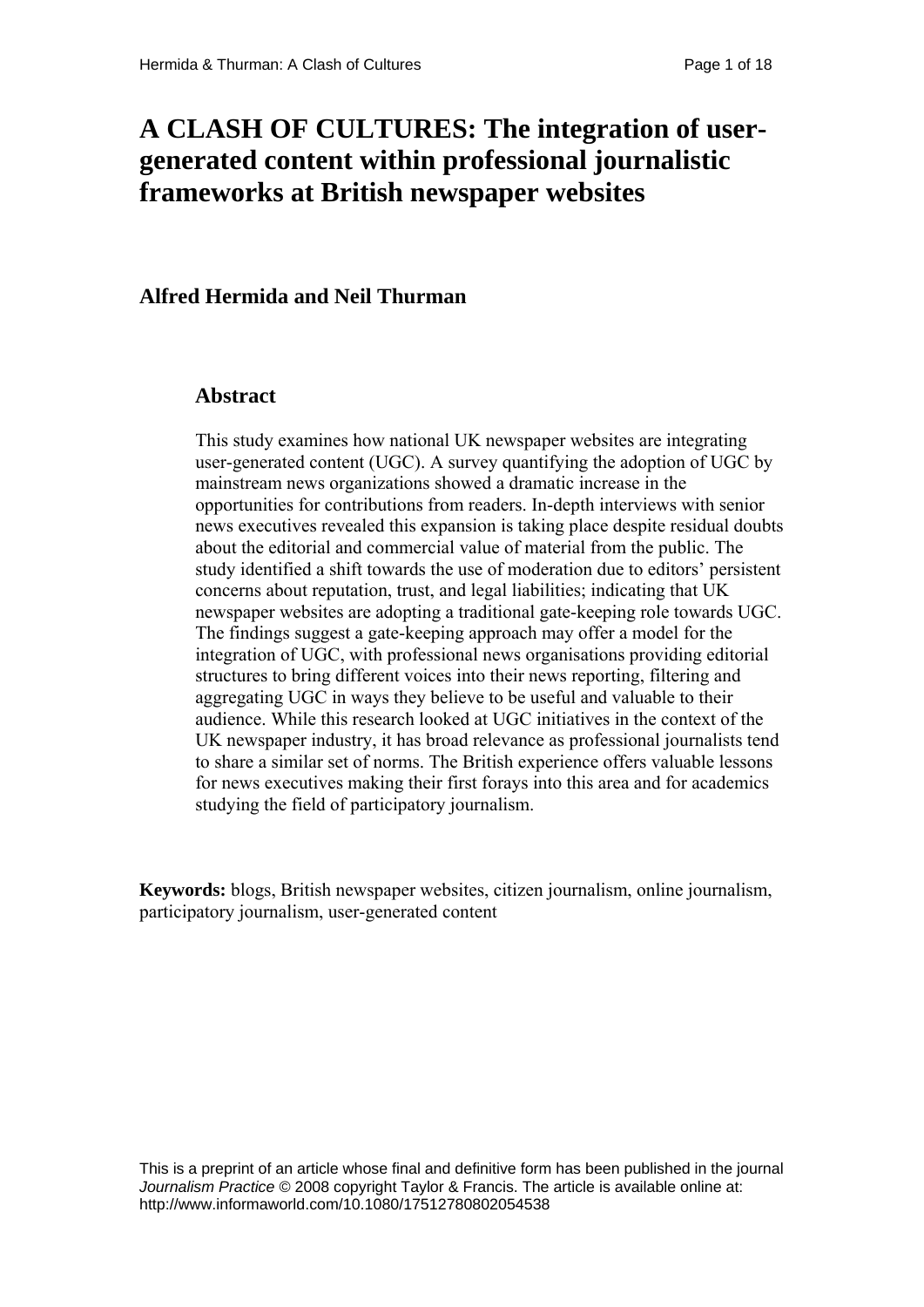# **A CLASH OF CULTURES: The integration of usergenerated content within professional journalistic frameworks at British newspaper websites**

## **Alfred Hermida and Neil Thurman**

#### **Abstract**

This study examines how national UK newspaper websites are integrating user-generated content (UGC). A survey quantifying the adoption of UGC by mainstream news organizations showed a dramatic increase in the opportunities for contributions from readers. In-depth interviews with senior news executives revealed this expansion is taking place despite residual doubts about the editorial and commercial value of material from the public. The study identified a shift towards the use of moderation due to editors' persistent concerns about reputation, trust, and legal liabilities; indicating that UK newspaper websites are adopting a traditional gate-keeping role towards UGC. The findings suggest a gate-keeping approach may offer a model for the integration of UGC, with professional news organisations providing editorial structures to bring different voices into their news reporting, filtering and aggregating UGC in ways they believe to be useful and valuable to their audience. While this research looked at UGC initiatives in the context of the UK newspaper industry, it has broad relevance as professional journalists tend to share a similar set of norms. The British experience offers valuable lessons for news executives making their first forays into this area and for academics studying the field of participatory journalism.

**Keywords:** blogs, British newspaper websites, citizen journalism, online journalism, participatory journalism, user-generated content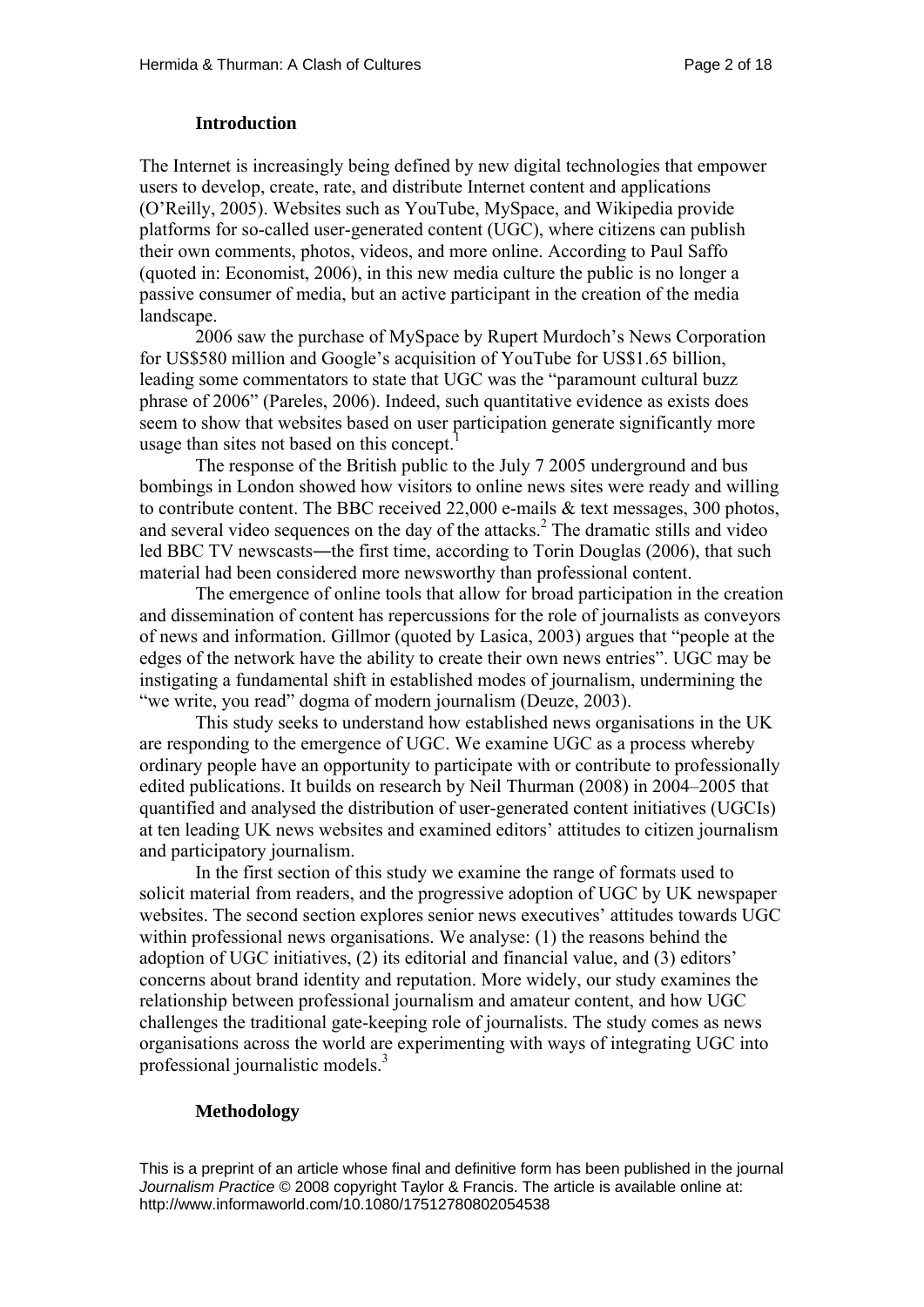#### **Introduction**

The Internet is increasingly being defined by new digital technologies that empower users to develop, create, rate, and distribute Internet content and applications (O'Reilly, 2005). Websites such as YouTube, MySpace, and Wikipedia provide platforms for so-called user-generated content (UGC), where citizens can publish their own comments, photos, videos, and more online. According to Paul Saffo (quoted in: Economist, 2006), in this new media culture the public is no longer a passive consumer of media, but an active participant in the creation of the media landscape.

2006 saw the purchase of MySpace by Rupert Murdoch's News Corporation for US\$580 million and Google's acquisition of YouTube for US\$1.65 billion, leading some commentators to state that UGC was the "paramount cultural buzz phrase of 2006" (Pareles, 2006). Indeed, such quantitative evidence as exists does seem to show that websites based on user participation generate significantly more usage than sites not based on this concept.1

The response of the British public to the July 7 2005 underground and bus bombings in London showed how visitors to online news sites were ready and willing to contribute content. The BBC received 22,000 e-mails & text messages, 300 photos, and several video sequences on the day of the attacks.<sup>2</sup> The dramatic stills and video led BBC TV newscasts—the first time, according to Torin Douglas (2006), that such material had been considered more newsworthy than professional content.

The emergence of online tools that allow for broad participation in the creation and dissemination of content has repercussions for the role of journalists as conveyors of news and information. Gillmor (quoted by Lasica, 2003) argues that "people at the edges of the network have the ability to create their own news entries". UGC may be instigating a fundamental shift in established modes of journalism, undermining the "we write, you read" dogma of modern journalism (Deuze, 2003).

This study seeks to understand how established news organisations in the UK are responding to the emergence of UGC. We examine UGC as a process whereby ordinary people have an opportunity to participate with or contribute to professionally edited publications. It builds on research by Neil Thurman (2008) in 2004–2005 that quantified and analysed the distribution of user-generated content initiatives (UGCIs) at ten leading UK news websites and examined editors' attitudes to citizen journalism and participatory journalism.

In the first section of this study we examine the range of formats used to solicit material from readers, and the progressive adoption of UGC by UK newspaper websites. The second section explores senior news executives' attitudes towards UGC within professional news organisations. We analyse: (1) the reasons behind the adoption of UGC initiatives, (2) its editorial and financial value, and (3) editors' concerns about brand identity and reputation. More widely, our study examines the relationship between professional journalism and amateur content, and how UGC challenges the traditional gate-keeping role of journalists. The study comes as news organisations across the world are experimenting with ways of integrating UGC into professional journalistic models.<sup>3</sup>

#### **Methodology**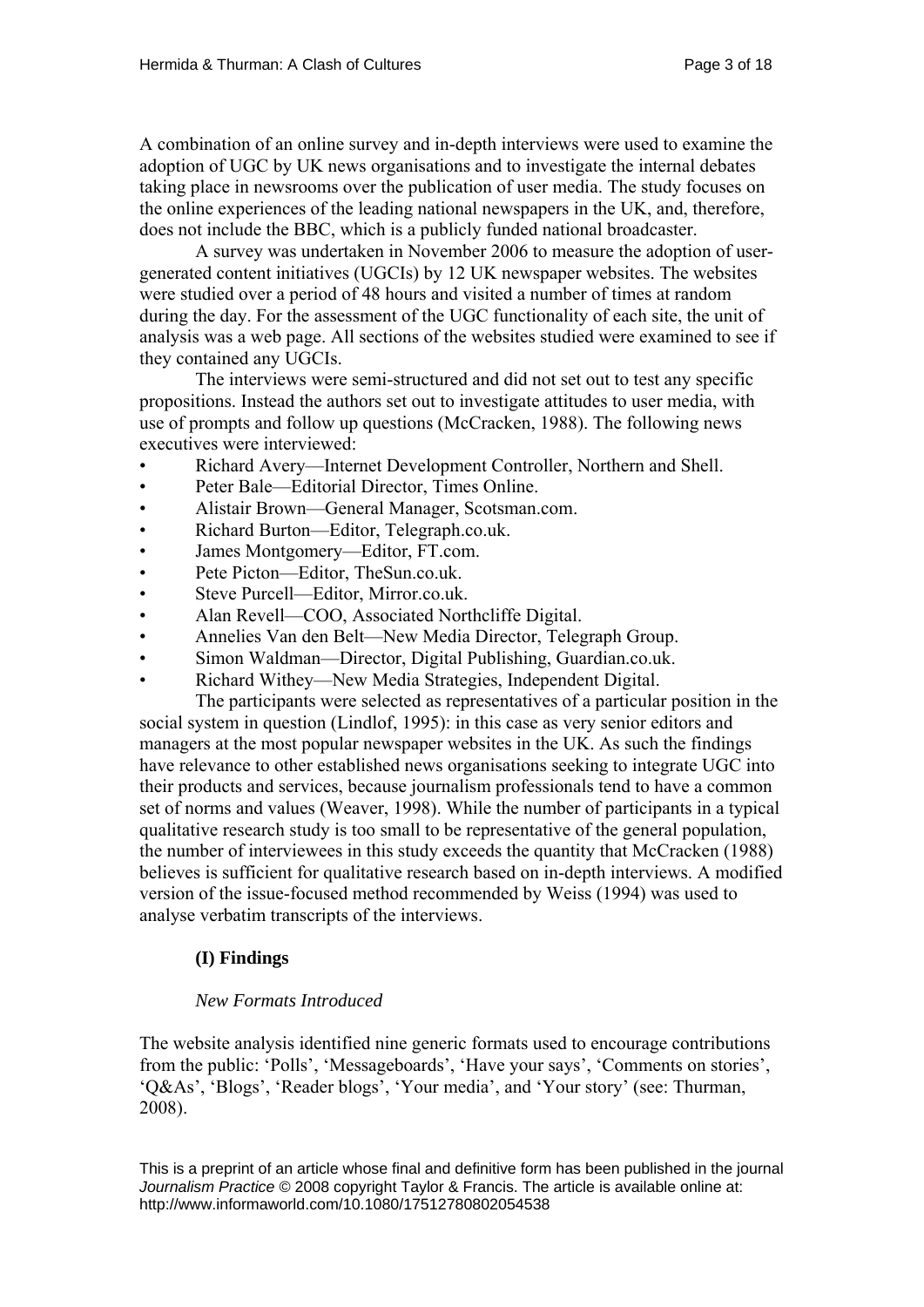A combination of an online survey and in-depth interviews were used to examine the adoption of UGC by UK news organisations and to investigate the internal debates taking place in newsrooms over the publication of user media. The study focuses on the online experiences of the leading national newspapers in the UK, and, therefore, does not include the BBC, which is a publicly funded national broadcaster.

A survey was undertaken in November 2006 to measure the adoption of usergenerated content initiatives (UGCIs) by 12 UK newspaper websites. The websites were studied over a period of 48 hours and visited a number of times at random during the day. For the assessment of the UGC functionality of each site, the unit of analysis was a web page. All sections of the websites studied were examined to see if they contained any UGCIs.

The interviews were semi-structured and did not set out to test any specific propositions. Instead the authors set out to investigate attitudes to user media, with use of prompts and follow up questions (McCracken, 1988). The following news executives were interviewed:

- Richard Avery—Internet Development Controller, Northern and Shell.
- Peter Bale—Editorial Director, Times Online.
- Alistair Brown—General Manager, Scotsman.com.
- Richard Burton—Editor, Telegraph.co.uk.
- James Montgomery—Editor, FT.com.
- Pete Picton—Editor, TheSun.co.uk.
- Steve Purcell—Editor, Mirror.co.uk.
- Alan Revell—COO, Associated Northcliffe Digital.
- Annelies Van den Belt—New Media Director, Telegraph Group.
- Simon Waldman—Director, Digital Publishing, Guardian.co.uk.
- Richard Withey—New Media Strategies, Independent Digital.

 The participants were selected as representatives of a particular position in the social system in question (Lindlof, 1995): in this case as very senior editors and managers at the most popular newspaper websites in the UK. As such the findings have relevance to other established news organisations seeking to integrate UGC into their products and services, because journalism professionals tend to have a common set of norms and values (Weaver, 1998). While the number of participants in a typical qualitative research study is too small to be representative of the general population, the number of interviewees in this study exceeds the quantity that McCracken (1988) believes is sufficient for qualitative research based on in-depth interviews. A modified version of the issue-focused method recommended by Weiss (1994) was used to analyse verbatim transcripts of the interviews.

#### **(I) Findings**

#### *New Formats Introduced*

The website analysis identified nine generic formats used to encourage contributions from the public: 'Polls', 'Messageboards', 'Have your says', 'Comments on stories', 'Q&As', 'Blogs', 'Reader blogs', 'Your media', and 'Your story' (see: Thurman, 2008).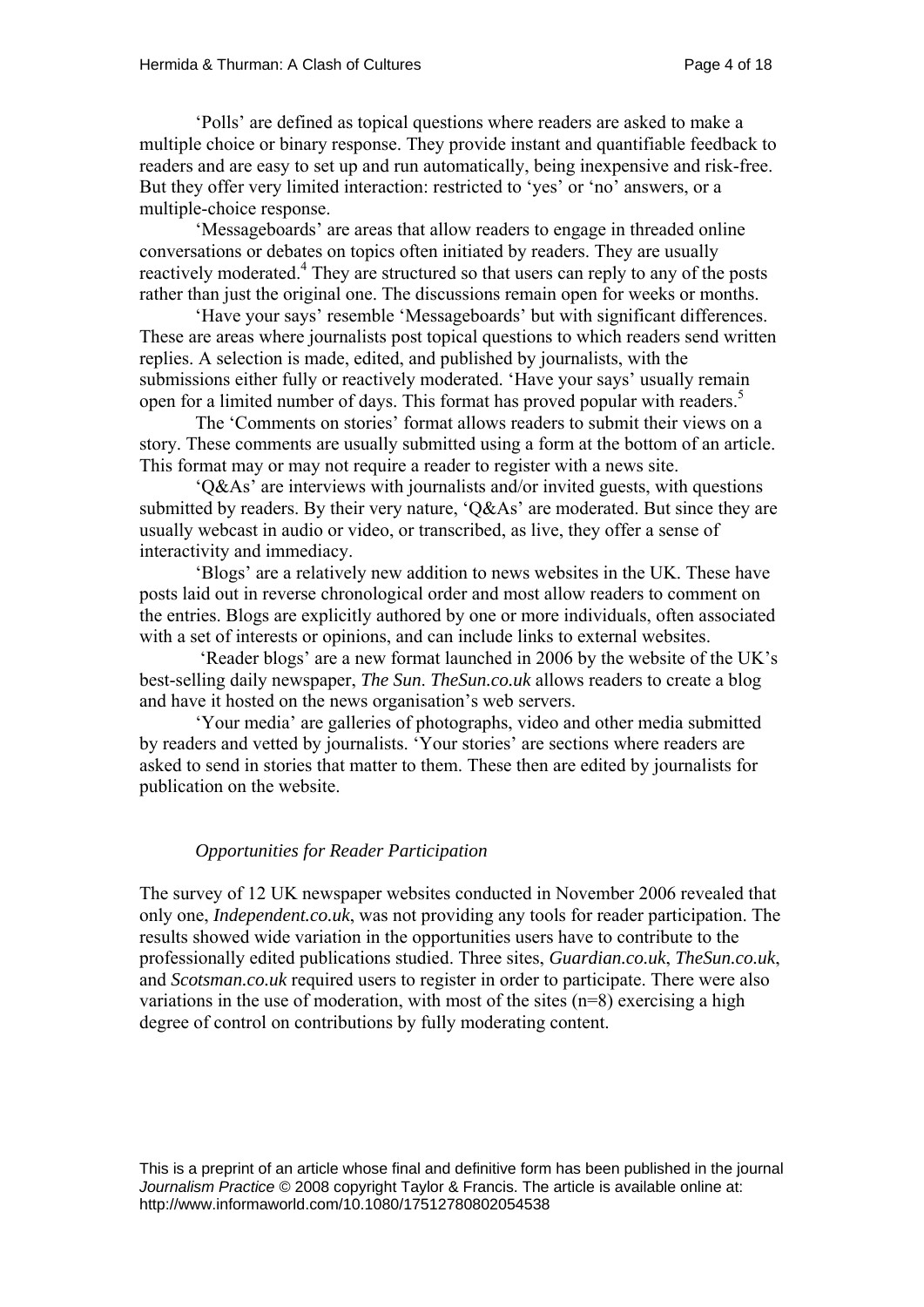'Polls' are defined as topical questions where readers are asked to make a multiple choice or binary response. They provide instant and quantifiable feedback to readers and are easy to set up and run automatically, being inexpensive and risk-free. But they offer very limited interaction: restricted to 'yes' or 'no' answers, or a multiple-choice response.

'Messageboards' are areas that allow readers to engage in threaded online conversations or debates on topics often initiated by readers. They are usually reactively moderated.<sup>4</sup> They are structured so that users can reply to any of the posts rather than just the original one. The discussions remain open for weeks or months.

 'Have your says' resemble 'Messageboards' but with significant differences. These are areas where journalists post topical questions to which readers send written replies. A selection is made, edited, and published by journalists, with the submissions either fully or reactively moderated. 'Have your says' usually remain open for a limited number of days. This format has proved popular with readers.<sup>5</sup>

The 'Comments on stories' format allows readers to submit their views on a story. These comments are usually submitted using a form at the bottom of an article. This format may or may not require a reader to register with a news site.

'Q&As' are interviews with journalists and/or invited guests, with questions submitted by readers. By their very nature, 'Q&As' are moderated. But since they are usually webcast in audio or video, or transcribed, as live, they offer a sense of interactivity and immediacy.

'Blogs' are a relatively new addition to news websites in the UK. These have posts laid out in reverse chronological order and most allow readers to comment on the entries. Blogs are explicitly authored by one or more individuals, often associated with a set of interests or opinions, and can include links to external websites.

 'Reader blogs' are a new format launched in 2006 by the website of the UK's best-selling daily newspaper, *The Sun*. *TheSun.co.uk* allows readers to create a blog and have it hosted on the news organisation's web servers.

'Your media' are galleries of photographs, video and other media submitted by readers and vetted by journalists. 'Your stories' are sections where readers are asked to send in stories that matter to them. These then are edited by journalists for publication on the website.

#### *Opportunities for Reader Participation*

The survey of 12 UK newspaper websites conducted in November 2006 revealed that only one, *Independent.co.uk*, was not providing any tools for reader participation. The results showed wide variation in the opportunities users have to contribute to the professionally edited publications studied. Three sites, *Guardian.co.uk*, *TheSun.co.uk*, and *Scotsman.co.uk* required users to register in order to participate. There were also variations in the use of moderation, with most of the sites  $(n=8)$  exercising a high degree of control on contributions by fully moderating content.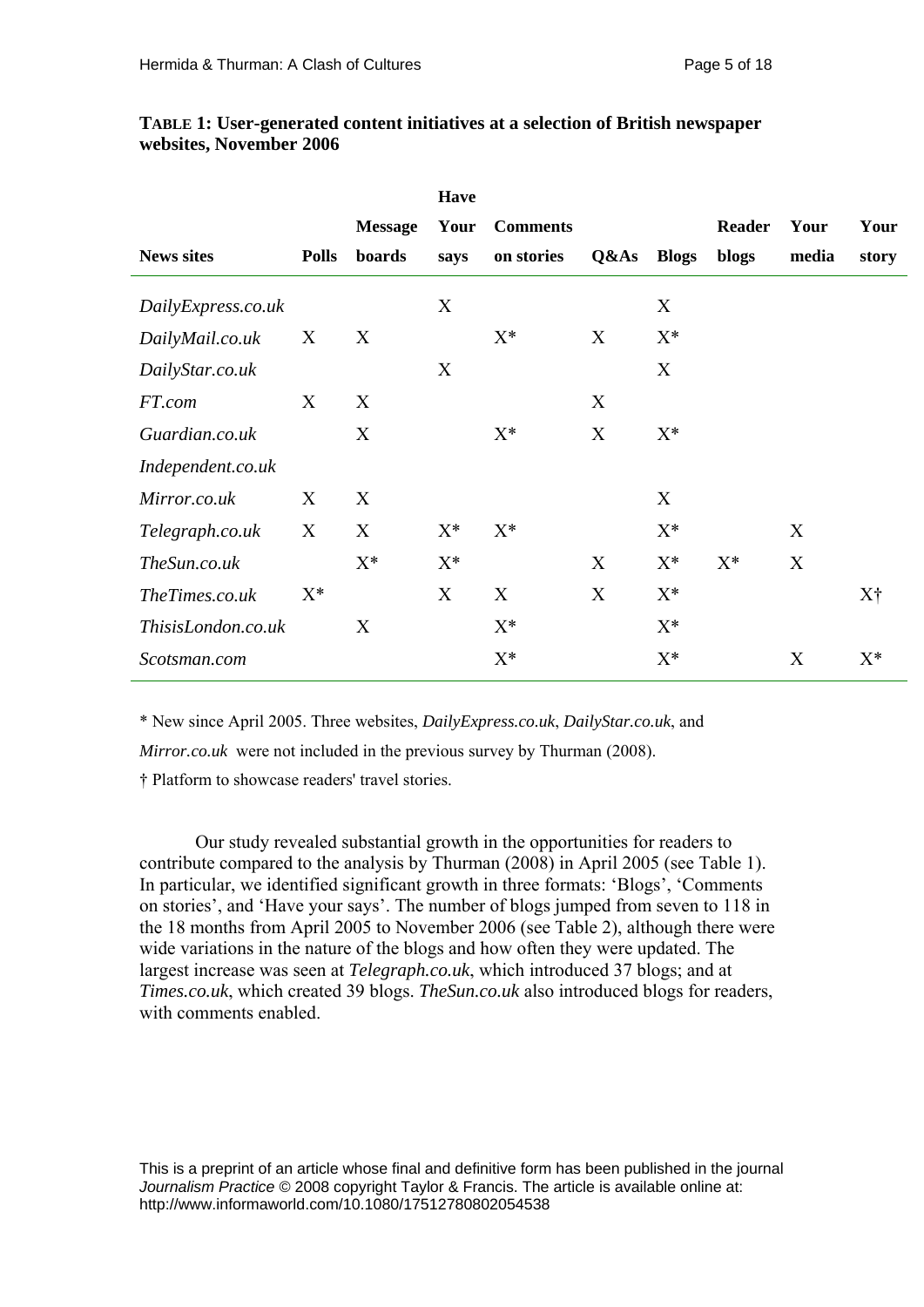|                    |              |                | <b>Have</b> |                 |      |              |               |       |       |
|--------------------|--------------|----------------|-------------|-----------------|------|--------------|---------------|-------|-------|
|                    |              | <b>Message</b> | Your        | <b>Comments</b> |      |              | <b>Reader</b> | Your  | Your  |
| <b>News sites</b>  | <b>Polls</b> | boards         | says        | on stories      | Q&As | <b>Blogs</b> | blogs         | media | story |
| DailyExpress.co.uk |              |                | X           |                 |      | X            |               |       |       |
| DailyMail.co.uk    | X            | X              |             | $X^*$           | X    | $X^*$        |               |       |       |
| DailyStar.co.uk    |              |                | X           |                 |      | X            |               |       |       |
| FT.com             | X            | X              |             |                 | X    |              |               |       |       |
| Guardian.co.uk     |              | X              |             | $X^*$           | X    | $X^*$        |               |       |       |
| Independent.co.uk  |              |                |             |                 |      |              |               |       |       |
| Mirror.co.uk       | X            | X              |             |                 |      | X            |               |       |       |
| Telegraph.co.uk    | X            | X              | $X^*$       | $X^*$           |      | $X^*$        |               | X     |       |
| TheSun.co.uk       |              | $X^*$          | $X^*$       |                 | X    | $X^*$        | $X^*$         | X     |       |
| TheTimes.co.uk     | $X^*$        |                | X           | X               | X    | $X^*$        |               |       | X†    |
| ThisisLondon.co.uk |              | X              |             | $X^*$           |      | $X^*$        |               |       |       |
| Scotsman.com       |              |                |             | $X^*$           |      | $X^*$        |               | X     | $X^*$ |

#### **TABLE 1: User-generated content initiatives at a selection of British newspaper websites, November 2006**

\* New since April 2005. Three websites, *DailyExpress.co.uk*, *DailyStar.co.uk*, and

*Mirror.co.uk* were not included in the previous survey by Thurman (2008).

† Platform to showcase readers' travel stories.

Our study revealed substantial growth in the opportunities for readers to contribute compared to the analysis by Thurman (2008) in April 2005 (see Table 1). In particular, we identified significant growth in three formats: 'Blogs', 'Comments on stories', and 'Have your says'. The number of blogs jumped from seven to 118 in the 18 months from April 2005 to November 2006 (see Table 2), although there were wide variations in the nature of the blogs and how often they were updated. The largest increase was seen at *Telegraph.co.uk*, which introduced 37 blogs; and at *Times.co.uk*, which created 39 blogs. *TheSun.co.uk* also introduced blogs for readers, with comments enabled.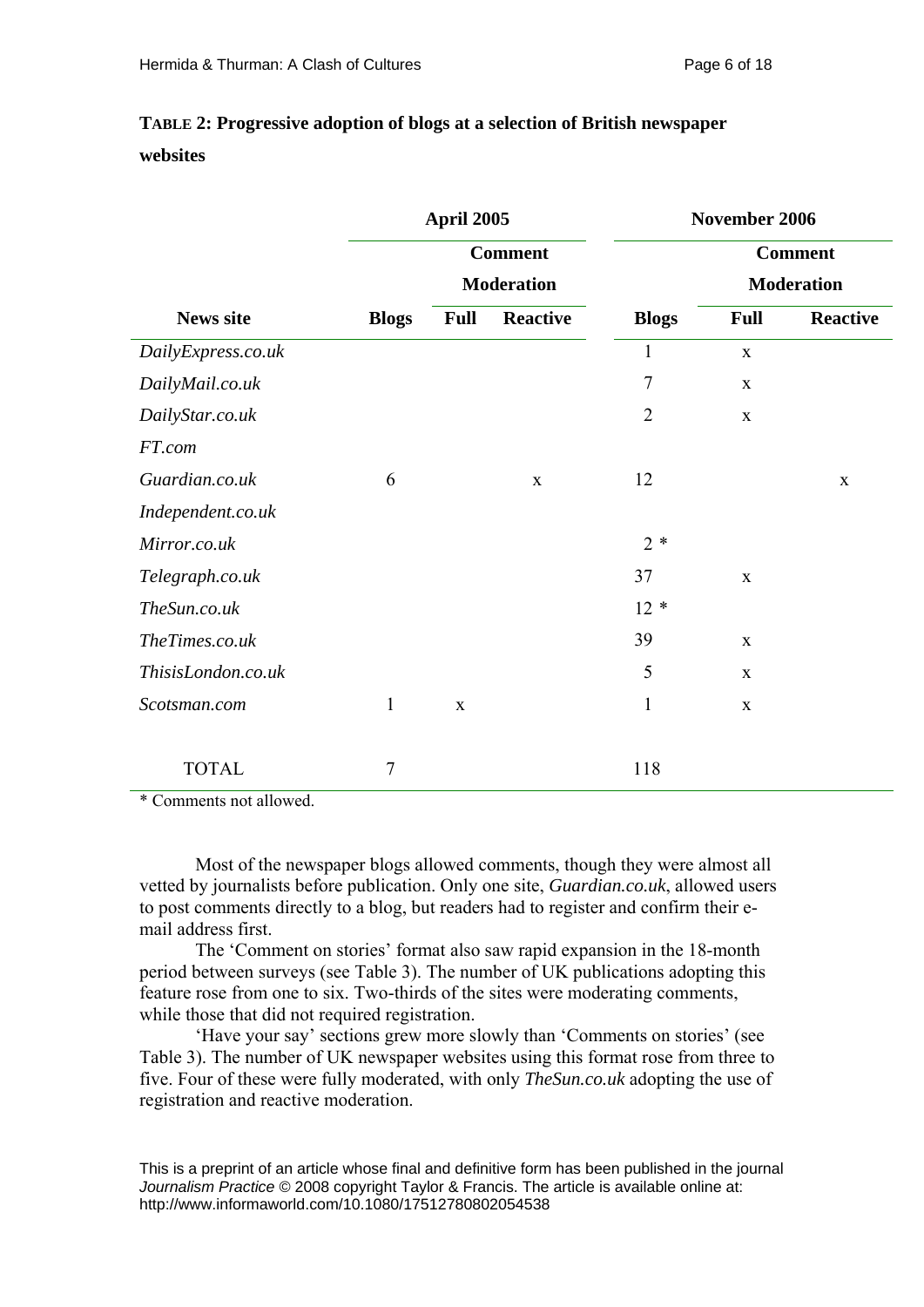# **TABLE 2: Progressive adoption of blogs at a selection of British newspaper**

### **websites**

|                    |              | April 2005  |                   | November 2006<br><b>Comment</b> |                   |                 |  |
|--------------------|--------------|-------------|-------------------|---------------------------------|-------------------|-----------------|--|
|                    |              |             | <b>Comment</b>    |                                 |                   |                 |  |
|                    |              |             | <b>Moderation</b> |                                 | <b>Moderation</b> |                 |  |
| <b>News site</b>   | <b>Blogs</b> | Full        | <b>Reactive</b>   | <b>Blogs</b>                    | <b>Full</b>       | <b>Reactive</b> |  |
| DailyExpress.co.uk |              |             |                   | $\mathbf{1}$                    | $\mathbf X$       |                 |  |
| DailyMail.co.uk    |              |             |                   | $\overline{7}$                  | $\mathbf X$       |                 |  |
| DailyStar.co.uk    |              |             |                   | $\overline{2}$                  | $\mathbf X$       |                 |  |
| FT.com             |              |             |                   |                                 |                   |                 |  |
| Guardian.co.uk     | 6            |             | $\mathbf X$       | 12                              |                   | $\mathbf X$     |  |
| Independent.co.uk  |              |             |                   |                                 |                   |                 |  |
| Mirror.co.uk       |              |             |                   | $2 *$                           |                   |                 |  |
| Telegraph.co.uk    |              |             |                   | 37                              | $\mathbf X$       |                 |  |
| TheSun.co.uk       |              |             |                   | $12 *$                          |                   |                 |  |
| TheTimes.co.uk     |              |             |                   | 39                              | $\mathbf X$       |                 |  |
| ThisisLondon.co.uk |              |             |                   | 5                               | $\mathbf X$       |                 |  |
| Scotsman.com       | $\mathbf{1}$ | $\mathbf X$ |                   | $\mathbbm{1}$                   | $\mathbf X$       |                 |  |
| <b>TOTAL</b>       | 7            |             |                   | 118                             |                   |                 |  |

\* Comments not allowed.

Most of the newspaper blogs allowed comments, though they were almost all vetted by journalists before publication. Only one site, *Guardian.co.uk*, allowed users to post comments directly to a blog, but readers had to register and confirm their email address first.

 The 'Comment on stories' format also saw rapid expansion in the 18-month period between surveys (see Table 3). The number of UK publications adopting this feature rose from one to six. Two-thirds of the sites were moderating comments, while those that did not required registration.

'Have your say' sections grew more slowly than 'Comments on stories' (see Table 3). The number of UK newspaper websites using this format rose from three to five. Four of these were fully moderated, with only *TheSun.co.uk* adopting the use of registration and reactive moderation.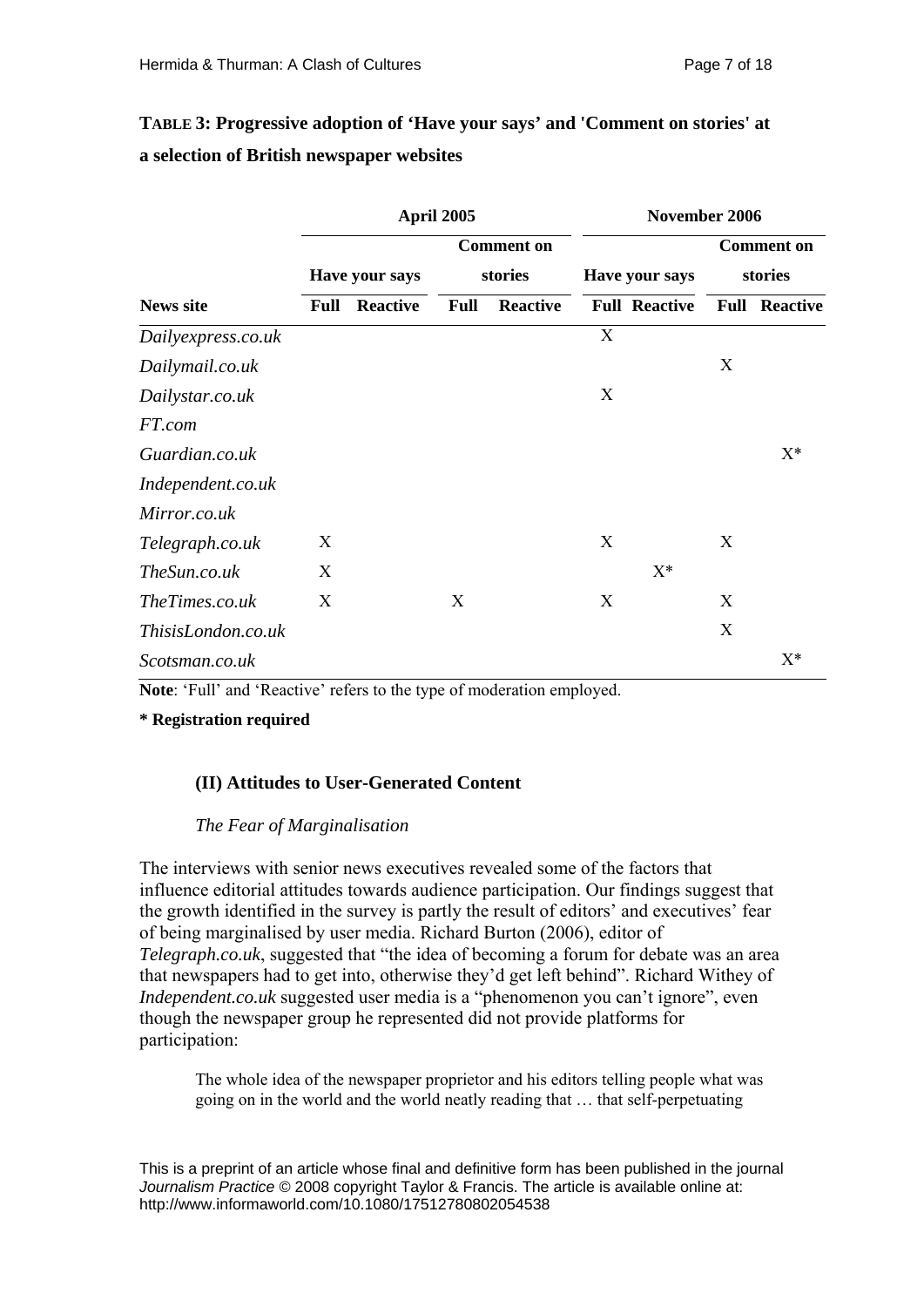|                    |                | April 2005      |                   | November 2006 |                |                      |                              |                      |
|--------------------|----------------|-----------------|-------------------|---------------|----------------|----------------------|------------------------------|----------------------|
|                    |                |                 | <b>Comment on</b> |               |                |                      | <b>Comment on</b><br>stories |                      |
|                    | Have your says |                 | stories           |               | Have your says |                      |                              |                      |
| <b>News site</b>   | Full           | <b>Reactive</b> | Full              | Reactive      |                | <b>Full Reactive</b> |                              | <b>Full Reactive</b> |
| Dailyexpress.co.uk |                |                 |                   |               | X              |                      |                              |                      |
| Dailymail.co.uk    |                |                 |                   |               |                |                      | X                            |                      |
| Dailystar.co.uk    |                |                 |                   |               | X              |                      |                              |                      |
| FT.com             |                |                 |                   |               |                |                      |                              |                      |
| Guardian.co.uk     |                |                 |                   |               |                |                      |                              | $X^*$                |
| Independent.co.uk  |                |                 |                   |               |                |                      |                              |                      |
| Mirror.co.uk       |                |                 |                   |               |                |                      |                              |                      |
| Telegraph.co.uk    | X              |                 |                   |               | X              |                      | X                            |                      |
| TheSun.co.uk       | X              |                 |                   |               |                | $X^*$                |                              |                      |
| TheTimes.co.uk     | X              |                 | X                 |               | X              |                      | X                            |                      |
| ThisisLondon.co.uk |                |                 |                   |               |                |                      | X                            |                      |
| Scotsman.co.uk     |                |                 |                   |               |                |                      |                              | $X^*$                |

**TABLE 3: Progressive adoption of 'Have your says' and 'Comment on stories' at a selection of British newspaper websites**

**Note**: 'Full' and 'Reactive' refers to the type of moderation employed.

**\* Registration required**

#### **(II) Attitudes to User-Generated Content**

#### *The Fear of Marginalisation*

The interviews with senior news executives revealed some of the factors that influence editorial attitudes towards audience participation. Our findings suggest that the growth identified in the survey is partly the result of editors' and executives' fear of being marginalised by user media. Richard Burton (2006), editor of *Telegraph.co.uk*, suggested that "the idea of becoming a forum for debate was an area that newspapers had to get into, otherwise they'd get left behind". Richard Withey of *Independent.co.uk* suggested user media is a "phenomenon you can't ignore", even though the newspaper group he represented did not provide platforms for participation:

The whole idea of the newspaper proprietor and his editors telling people what was going on in the world and the world neatly reading that … that self-perpetuating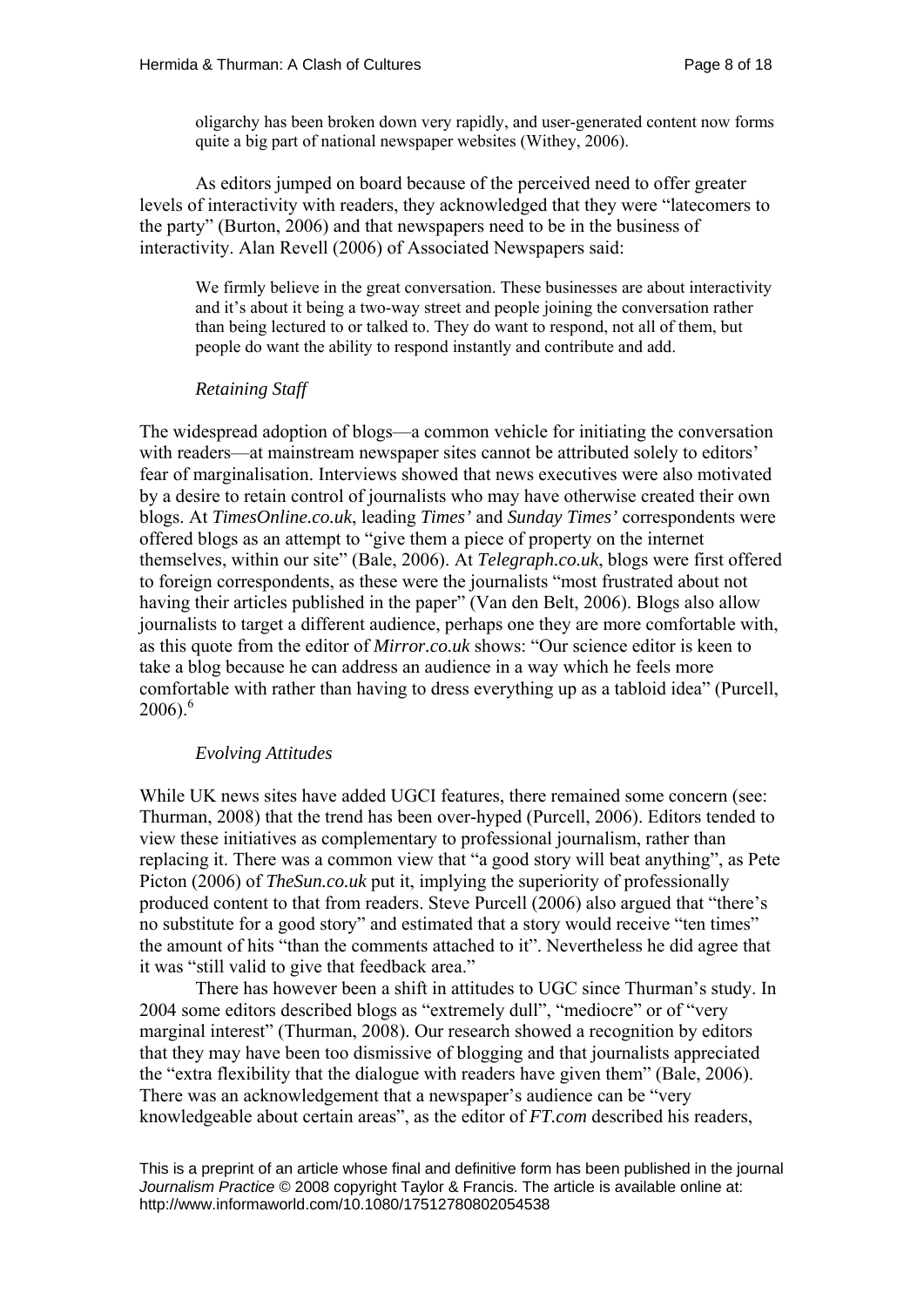oligarchy has been broken down very rapidly, and user-generated content now forms quite a big part of national newspaper websites (Withey, 2006).

As editors jumped on board because of the perceived need to offer greater levels of interactivity with readers, they acknowledged that they were "latecomers to the party" (Burton, 2006) and that newspapers need to be in the business of interactivity. Alan Revell (2006) of Associated Newspapers said:

We firmly believe in the great conversation. These businesses are about interactivity and it's about it being a two-way street and people joining the conversation rather than being lectured to or talked to. They do want to respond, not all of them, but people do want the ability to respond instantly and contribute and add.

#### *Retaining Staff*

The widespread adoption of blogs—a common vehicle for initiating the conversation with readers—at mainstream newspaper sites cannot be attributed solely to editors' fear of marginalisation. Interviews showed that news executives were also motivated by a desire to retain control of journalists who may have otherwise created their own blogs. At *TimesOnline.co.uk*, leading *Times'* and *Sunday Times'* correspondents were offered blogs as an attempt to "give them a piece of property on the internet themselves, within our site" (Bale, 2006). At *Telegraph.co.uk*, blogs were first offered to foreign correspondents, as these were the journalists "most frustrated about not having their articles published in the paper" (Van den Belt, 2006). Blogs also allow journalists to target a different audience, perhaps one they are more comfortable with, as this quote from the editor of *Mirror.co.uk* shows: "Our science editor is keen to take a blog because he can address an audience in a way which he feels more comfortable with rather than having to dress everything up as a tabloid idea" (Purcell,  $2006$ <sup>6</sup>

#### *Evolving Attitudes*

While UK news sites have added UGCI features, there remained some concern (see: Thurman, 2008) that the trend has been over-hyped (Purcell, 2006). Editors tended to view these initiatives as complementary to professional journalism, rather than replacing it. There was a common view that "a good story will beat anything", as Pete Picton (2006) of *TheSun.co.uk* put it, implying the superiority of professionally produced content to that from readers. Steve Purcell (2006) also argued that "there's no substitute for a good story" and estimated that a story would receive "ten times" the amount of hits "than the comments attached to it". Nevertheless he did agree that it was "still valid to give that feedback area."

There has however been a shift in attitudes to UGC since Thurman's study. In 2004 some editors described blogs as "extremely dull", "mediocre" or of "very marginal interest" (Thurman, 2008). Our research showed a recognition by editors that they may have been too dismissive of blogging and that journalists appreciated the "extra flexibility that the dialogue with readers have given them" (Bale, 2006). There was an acknowledgement that a newspaper's audience can be "very knowledgeable about certain areas", as the editor of *FT.com* described his readers,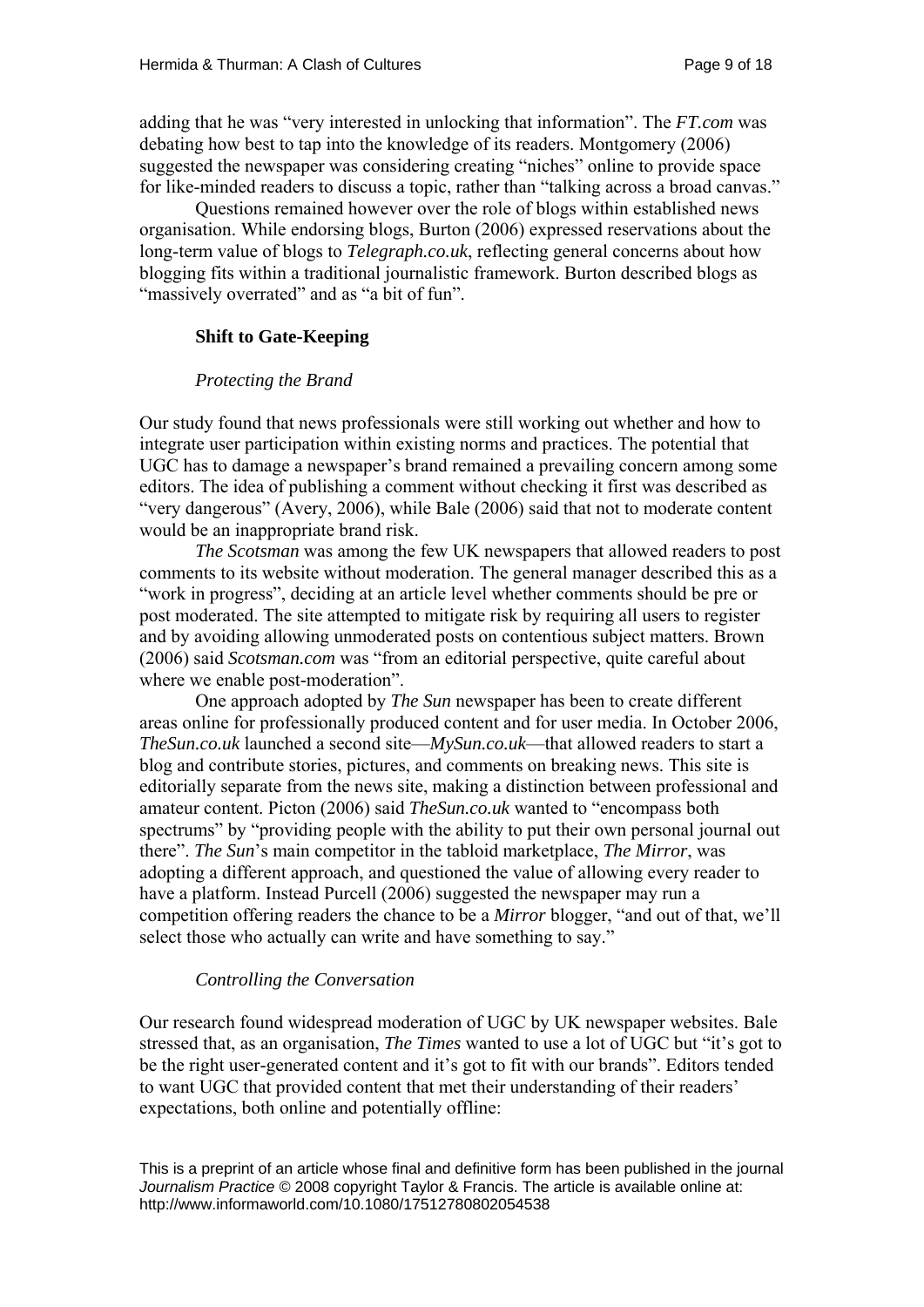adding that he was "very interested in unlocking that information". The *FT.com* was debating how best to tap into the knowledge of its readers. Montgomery (2006) suggested the newspaper was considering creating "niches" online to provide space for like-minded readers to discuss a topic, rather than "talking across a broad canvas."

Questions remained however over the role of blogs within established news organisation. While endorsing blogs, Burton (2006) expressed reservations about the long-term value of blogs to *Telegraph.co.uk*, reflecting general concerns about how blogging fits within a traditional journalistic framework. Burton described blogs as "massively overrated" and as "a bit of fun".

#### **Shift to Gate-Keeping**

#### *Protecting the Brand*

Our study found that news professionals were still working out whether and how to integrate user participation within existing norms and practices. The potential that UGC has to damage a newspaper's brand remained a prevailing concern among some editors. The idea of publishing a comment without checking it first was described as "very dangerous" (Avery, 2006), while Bale (2006) said that not to moderate content would be an inappropriate brand risk.

*The Scotsman* was among the few UK newspapers that allowed readers to post comments to its website without moderation. The general manager described this as a "work in progress", deciding at an article level whether comments should be pre or post moderated. The site attempted to mitigate risk by requiring all users to register and by avoiding allowing unmoderated posts on contentious subject matters. Brown (2006) said *Scotsman.com* was "from an editorial perspective, quite careful about where we enable post-moderation".

One approach adopted by *The Sun* newspaper has been to create different areas online for professionally produced content and for user media. In October 2006, *TheSun.co.uk* launched a second site—*MySun.co.uk*—that allowed readers to start a blog and contribute stories, pictures, and comments on breaking news. This site is editorially separate from the news site, making a distinction between professional and amateur content. Picton (2006) said *TheSun.co.uk* wanted to "encompass both spectrums" by "providing people with the ability to put their own personal journal out there". *The Sun*'s main competitor in the tabloid marketplace, *The Mirror*, was adopting a different approach, and questioned the value of allowing every reader to have a platform. Instead Purcell (2006) suggested the newspaper may run a competition offering readers the chance to be a *Mirror* blogger, "and out of that, we'll select those who actually can write and have something to say."

#### *Controlling the Conversation*

Our research found widespread moderation of UGC by UK newspaper websites. Bale stressed that, as an organisation, *The Times* wanted to use a lot of UGC but "it's got to be the right user-generated content and it's got to fit with our brands". Editors tended to want UGC that provided content that met their understanding of their readers' expectations, both online and potentially offline: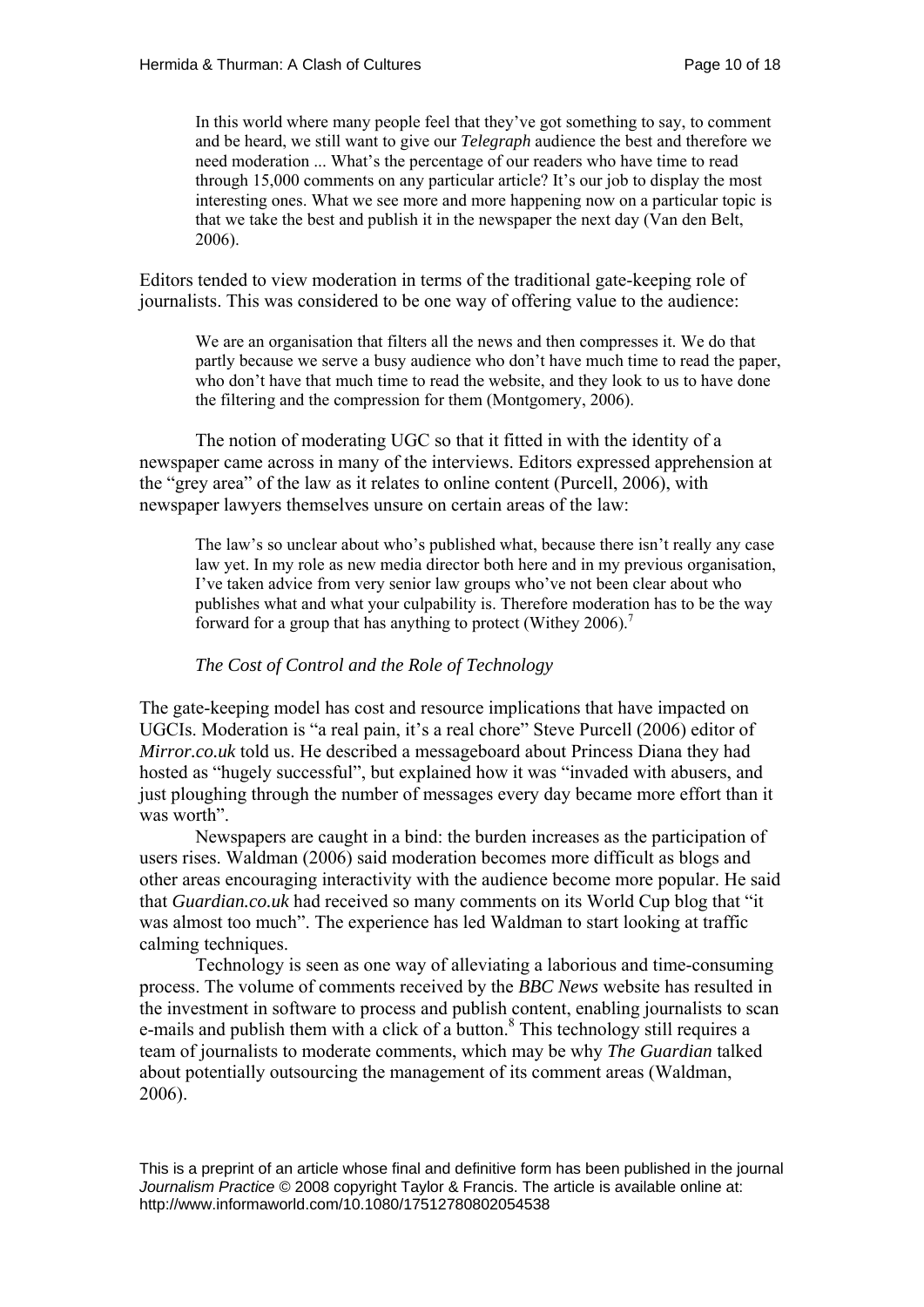In this world where many people feel that they've got something to say, to comment and be heard, we still want to give our *Telegraph* audience the best and therefore we need moderation ... What's the percentage of our readers who have time to read through 15,000 comments on any particular article? It's our job to display the most interesting ones. What we see more and more happening now on a particular topic is that we take the best and publish it in the newspaper the next day (Van den Belt, 2006).

Editors tended to view moderation in terms of the traditional gate-keeping role of journalists. This was considered to be one way of offering value to the audience:

We are an organisation that filters all the news and then compresses it. We do that partly because we serve a busy audience who don't have much time to read the paper, who don't have that much time to read the website, and they look to us to have done the filtering and the compression for them (Montgomery, 2006).

The notion of moderating UGC so that it fitted in with the identity of a newspaper came across in many of the interviews. Editors expressed apprehension at the "grey area" of the law as it relates to online content (Purcell, 2006), with newspaper lawyers themselves unsure on certain areas of the law:

The law's so unclear about who's published what, because there isn't really any case law yet. In my role as new media director both here and in my previous organisation, I've taken advice from very senior law groups who've not been clear about who publishes what and what your culpability is. Therefore moderation has to be the way forward for a group that has anything to protect (Withey 2006).<sup>7</sup>

#### *The Cost of Control and the Role of Technology*

The gate-keeping model has cost and resource implications that have impacted on UGCIs. Moderation is "a real pain, it's a real chore" Steve Purcell (2006) editor of *Mirror.co.uk* told us. He described a messageboard about Princess Diana they had hosted as "hugely successful", but explained how it was "invaded with abusers, and just ploughing through the number of messages every day became more effort than it was worth".

Newspapers are caught in a bind: the burden increases as the participation of users rises. Waldman (2006) said moderation becomes more difficult as blogs and other areas encouraging interactivity with the audience become more popular. He said that *Guardian.co.uk* had received so many comments on its World Cup blog that "it was almost too much". The experience has led Waldman to start looking at traffic calming techniques.

Technology is seen as one way of alleviating a laborious and time-consuming process. The volume of comments received by the *BBC News* website has resulted in the investment in software to process and publish content, enabling journalists to scan e-mails and publish them with a click of a button.<sup>8</sup> This technology still requires a team of journalists to moderate comments, which may be why *The Guardian* talked about potentially outsourcing the management of its comment areas (Waldman, 2006).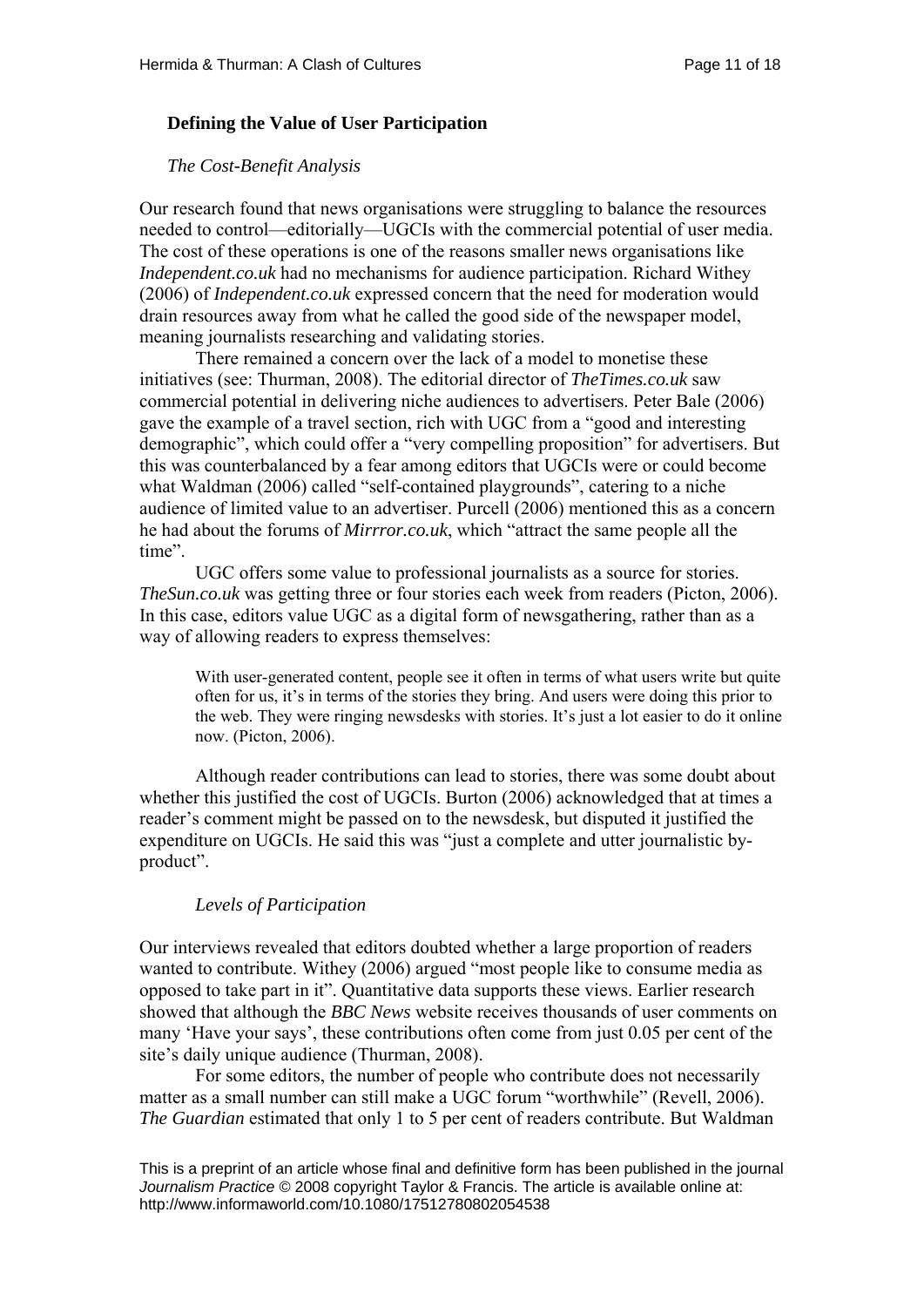#### **Defining the Value of User Participation**

#### *The Cost-Benefit Analysis*

Our research found that news organisations were struggling to balance the resources needed to control—editorially—UGCIs with the commercial potential of user media. The cost of these operations is one of the reasons smaller news organisations like *Independent.co.uk* had no mechanisms for audience participation. Richard Withey (2006) of *Independent.co.uk* expressed concern that the need for moderation would drain resources away from what he called the good side of the newspaper model, meaning journalists researching and validating stories.

 There remained a concern over the lack of a model to monetise these initiatives (see: Thurman, 2008). The editorial director of *TheTimes.co.uk* saw commercial potential in delivering niche audiences to advertisers. Peter Bale (2006) gave the example of a travel section, rich with UGC from a "good and interesting demographic", which could offer a "very compelling proposition" for advertisers. But this was counterbalanced by a fear among editors that UGCIs were or could become what Waldman (2006) called "self-contained playgrounds", catering to a niche audience of limited value to an advertiser. Purcell (2006) mentioned this as a concern he had about the forums of *Mirrror.co.uk*, which "attract the same people all the time".

UGC offers some value to professional journalists as a source for stories. *TheSun.co.uk* was getting three or four stories each week from readers (Picton, 2006). In this case, editors value UGC as a digital form of newsgathering, rather than as a way of allowing readers to express themselves:

With user-generated content, people see it often in terms of what users write but quite often for us, it's in terms of the stories they bring. And users were doing this prior to the web. They were ringing newsdesks with stories. It's just a lot easier to do it online now. (Picton, 2006).

Although reader contributions can lead to stories, there was some doubt about whether this justified the cost of UGCIs. Burton (2006) acknowledged that at times a reader's comment might be passed on to the newsdesk, but disputed it justified the expenditure on UGCIs. He said this was "just a complete and utter journalistic byproduct".

#### *Levels of Participation*

Our interviews revealed that editors doubted whether a large proportion of readers wanted to contribute. Withey (2006) argued "most people like to consume media as opposed to take part in it". Quantitative data supports these views. Earlier research showed that although the *BBC News* website receives thousands of user comments on many 'Have your says', these contributions often come from just 0.05 per cent of the site's daily unique audience (Thurman, 2008).

For some editors, the number of people who contribute does not necessarily matter as a small number can still make a UGC forum "worthwhile" (Revell, 2006). *The Guardian* estimated that only 1 to 5 per cent of readers contribute. But Waldman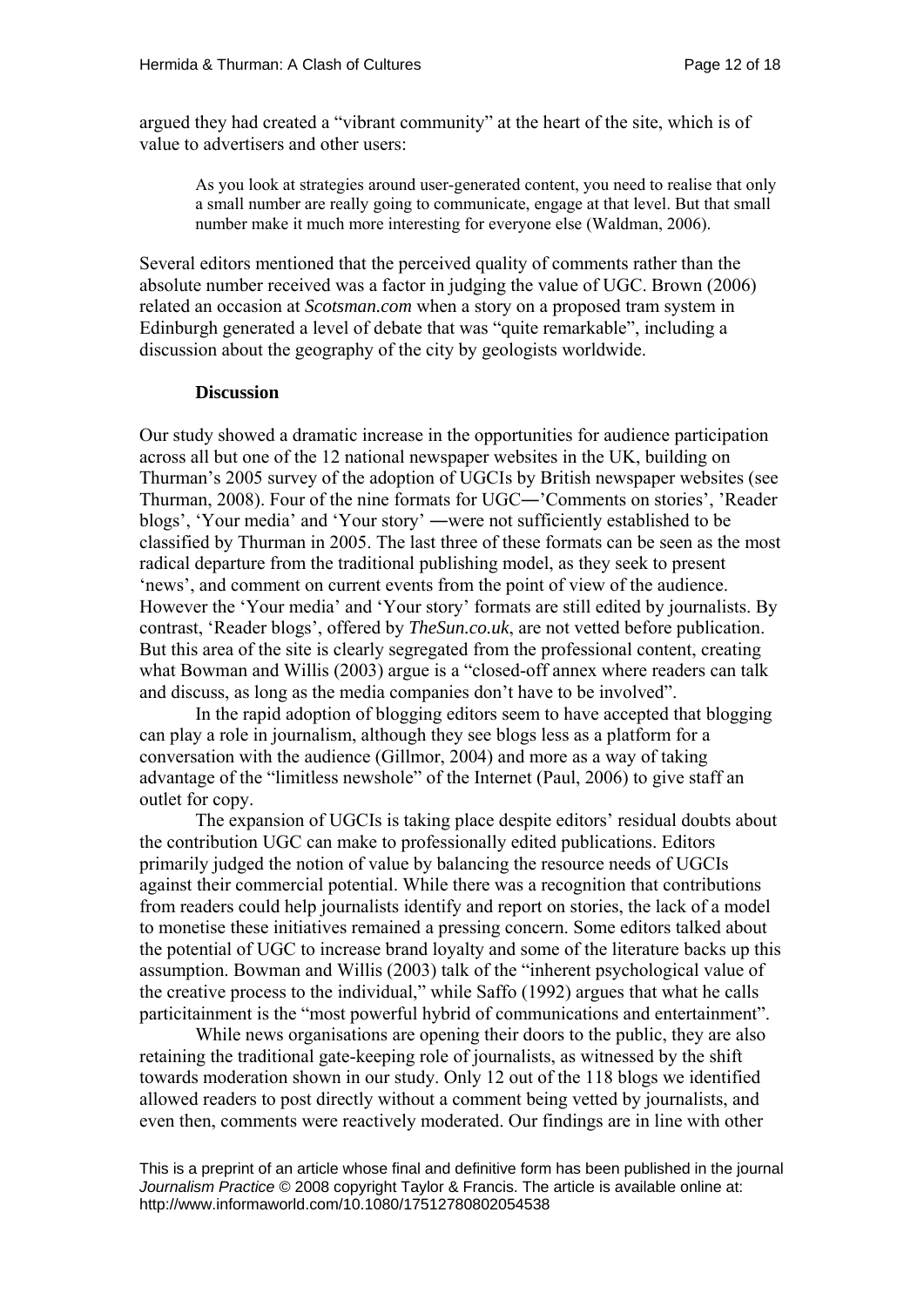argued they had created a "vibrant community" at the heart of the site, which is of value to advertisers and other users:

As you look at strategies around user-generated content, you need to realise that only a small number are really going to communicate, engage at that level. But that small number make it much more interesting for everyone else (Waldman, 2006).

Several editors mentioned that the perceived quality of comments rather than the absolute number received was a factor in judging the value of UGC. Brown (2006) related an occasion at *Scotsman.com* when a story on a proposed tram system in Edinburgh generated a level of debate that was "quite remarkable", including a discussion about the geography of the city by geologists worldwide.

#### **Discussion**

Our study showed a dramatic increase in the opportunities for audience participation across all but one of the 12 national newspaper websites in the UK, building on Thurman's 2005 survey of the adoption of UGCIs by British newspaper websites (see Thurman, 2008). Four of the nine formats for UGC―'Comments on stories', 'Reader blogs', 'Your media' and 'Your story' ―were not sufficiently established to be classified by Thurman in 2005. The last three of these formats can be seen as the most radical departure from the traditional publishing model, as they seek to present 'news', and comment on current events from the point of view of the audience. However the 'Your media' and 'Your story' formats are still edited by journalists. By contrast, 'Reader blogs', offered by *TheSun.co.uk*, are not vetted before publication. But this area of the site is clearly segregated from the professional content, creating what Bowman and Willis (2003) argue is a "closed-off annex where readers can talk and discuss, as long as the media companies don't have to be involved".

 In the rapid adoption of blogging editors seem to have accepted that blogging can play a role in journalism, although they see blogs less as a platform for a conversation with the audience (Gillmor, 2004) and more as a way of taking advantage of the "limitless newshole" of the Internet (Paul, 2006) to give staff an outlet for copy.

The expansion of UGCIs is taking place despite editors' residual doubts about the contribution UGC can make to professionally edited publications. Editors primarily judged the notion of value by balancing the resource needs of UGCIs against their commercial potential. While there was a recognition that contributions from readers could help journalists identify and report on stories, the lack of a model to monetise these initiatives remained a pressing concern. Some editors talked about the potential of UGC to increase brand loyalty and some of the literature backs up this assumption. Bowman and Willis (2003) talk of the "inherent psychological value of the creative process to the individual," while Saffo (1992) argues that what he calls particitainment is the "most powerful hybrid of communications and entertainment".

While news organisations are opening their doors to the public, they are also retaining the traditional gate-keeping role of journalists, as witnessed by the shift towards moderation shown in our study. Only 12 out of the 118 blogs we identified allowed readers to post directly without a comment being vetted by journalists, and even then, comments were reactively moderated. Our findings are in line with other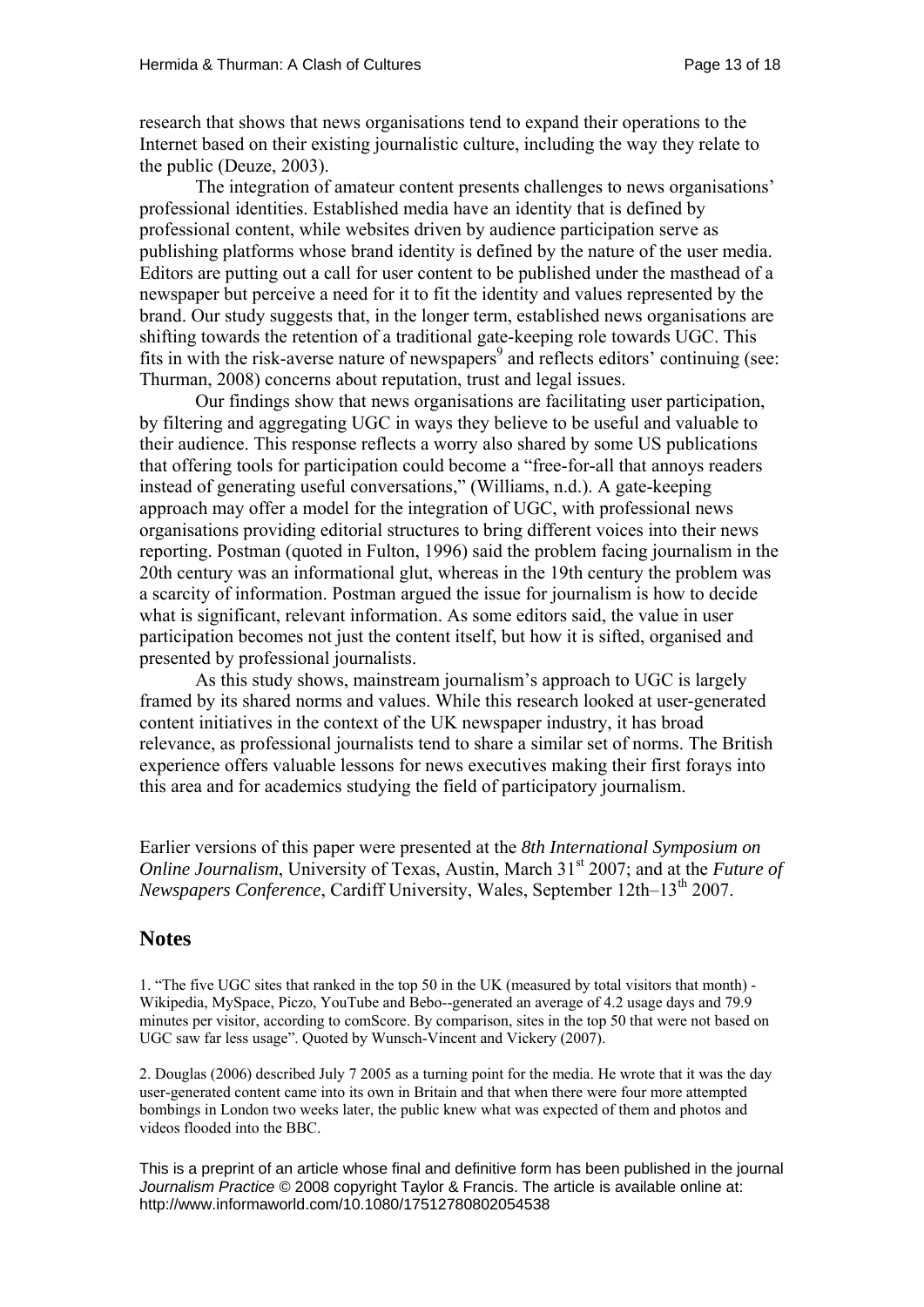research that shows that news organisations tend to expand their operations to the Internet based on their existing journalistic culture, including the way they relate to the public (Deuze, 2003).

 The integration of amateur content presents challenges to news organisations' professional identities. Established media have an identity that is defined by professional content, while websites driven by audience participation serve as publishing platforms whose brand identity is defined by the nature of the user media. Editors are putting out a call for user content to be published under the masthead of a newspaper but perceive a need for it to fit the identity and values represented by the brand. Our study suggests that, in the longer term, established news organisations are shifting towards the retention of a traditional gate-keeping role towards UGC. This fits in with the risk-averse nature of newspapers<sup>9</sup> and reflects editors' continuing (see: Thurman, 2008) concerns about reputation, trust and legal issues.

Our findings show that news organisations are facilitating user participation, by filtering and aggregating UGC in ways they believe to be useful and valuable to their audience. This response reflects a worry also shared by some US publications that offering tools for participation could become a "free-for-all that annoys readers instead of generating useful conversations," (Williams, n.d.). A gate-keeping approach may offer a model for the integration of UGC, with professional news organisations providing editorial structures to bring different voices into their news reporting. Postman (quoted in Fulton, 1996) said the problem facing journalism in the 20th century was an informational glut, whereas in the 19th century the problem was a scarcity of information. Postman argued the issue for journalism is how to decide what is significant, relevant information. As some editors said, the value in user participation becomes not just the content itself, but how it is sifted, organised and presented by professional journalists.

As this study shows, mainstream journalism's approach to UGC is largely framed by its shared norms and values. While this research looked at user-generated content initiatives in the context of the UK newspaper industry, it has broad relevance, as professional journalists tend to share a similar set of norms. The British experience offers valuable lessons for news executives making their first forays into this area and for academics studying the field of participatory journalism.

Earlier versions of this paper were presented at the *8th International Symposium on Online Journalism*, University of Texas, Austin, March 31<sup>st</sup> 2007; and at the *Future of Newspapers Conference*, Cardiff University, Wales, September 12th–13<sup>th</sup> 2007.

#### **Notes**

1. "The five UGC sites that ranked in the top 50 in the UK (measured by total visitors that month) - Wikipedia, MySpace, Piczo, YouTube and Bebo--generated an average of 4.2 usage days and 79.9 minutes per visitor, according to comScore. By comparison, sites in the top 50 that were not based on UGC saw far less usage". Quoted by Wunsch-Vincent and Vickery (2007).

2. Douglas (2006) described July 7 2005 as a turning point for the media. He wrote that it was the day user-generated content came into its own in Britain and that when there were four more attempted bombings in London two weeks later, the public knew what was expected of them and photos and videos flooded into the BBC.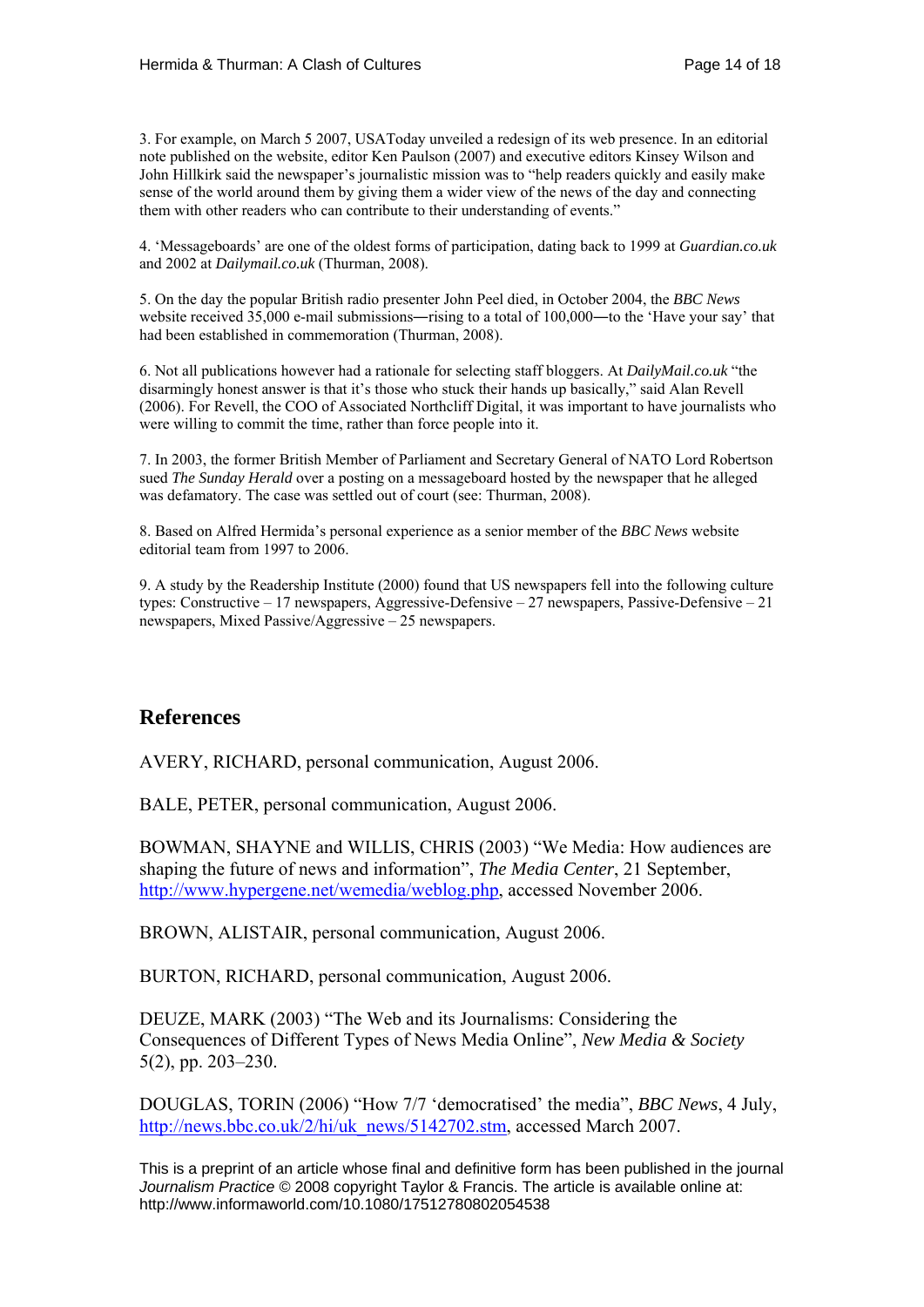3. For example, on March 5 2007, USAToday unveiled a redesign of its web presence. In an editorial note published on the website, editor Ken Paulson (2007) and executive editors Kinsey Wilson and John Hillkirk said the newspaper's journalistic mission was to "help readers quickly and easily make sense of the world around them by giving them a wider view of the news of the day and connecting them with other readers who can contribute to their understanding of events."

4. 'Messageboards' are one of the oldest forms of participation, dating back to 1999 at *Guardian.co.uk* and 2002 at *Dailymail.co.uk* (Thurman, 2008).

5. On the day the popular British radio presenter John Peel died, in October 2004, the *BBC News* website received  $35,000$  e-mail submissions—rising to a total of  $100,000$ —to the 'Have your say' that had been established in commemoration (Thurman, 2008).

6. Not all publications however had a rationale for selecting staff bloggers. At *DailyMail.co.uk* "the disarmingly honest answer is that it's those who stuck their hands up basically," said Alan Revell (2006). For Revell, the COO of Associated Northcliff Digital, it was important to have journalists who were willing to commit the time, rather than force people into it.

7. In 2003, the former British Member of Parliament and Secretary General of NATO Lord Robertson sued *The Sunday Herald* over a posting on a messageboard hosted by the newspaper that he alleged was defamatory. The case was settled out of court (see: Thurman, 2008).

8. Based on Alfred Hermida's personal experience as a senior member of the *BBC News* website editorial team from 1997 to 2006.

9. A study by the Readership Institute (2000) found that US newspapers fell into the following culture types: Constructive – 17 newspapers, Aggressive-Defensive – 27 newspapers, Passive-Defensive – 21 newspapers, Mixed Passive/Aggressive – 25 newspapers.

#### **References**

AVERY, RICHARD, personal communication, August 2006.

BALE, PETER, personal communication, August 2006.

BOWMAN, SHAYNE and WILLIS, CHRIS (2003) "We Media: How audiences are shaping the future of news and information", *The Media Center*, 21 September, [http://www.hypergene.net/wemedia/weblog.php,](http://www.hypergene.net/wemedia/weblog.php) accessed November 2006.

BROWN, ALISTAIR, personal communication, August 2006.

BURTON, RICHARD, personal communication, August 2006.

DEUZE, MARK (2003) "The Web and its Journalisms: Considering the Consequences of Different Types of News Media Online", *New Media & Society* 5(2), pp. 203–230.

DOUGLAS, TORIN (2006) "How 7/7 'democratised' the media", *BBC News*, 4 July, [http://news.bbc.co.uk/2/hi/uk\\_news/5142702.stm,](http://news.bbc.co.uk/2/hi/uk_news/5142702.stm) accessed March 2007.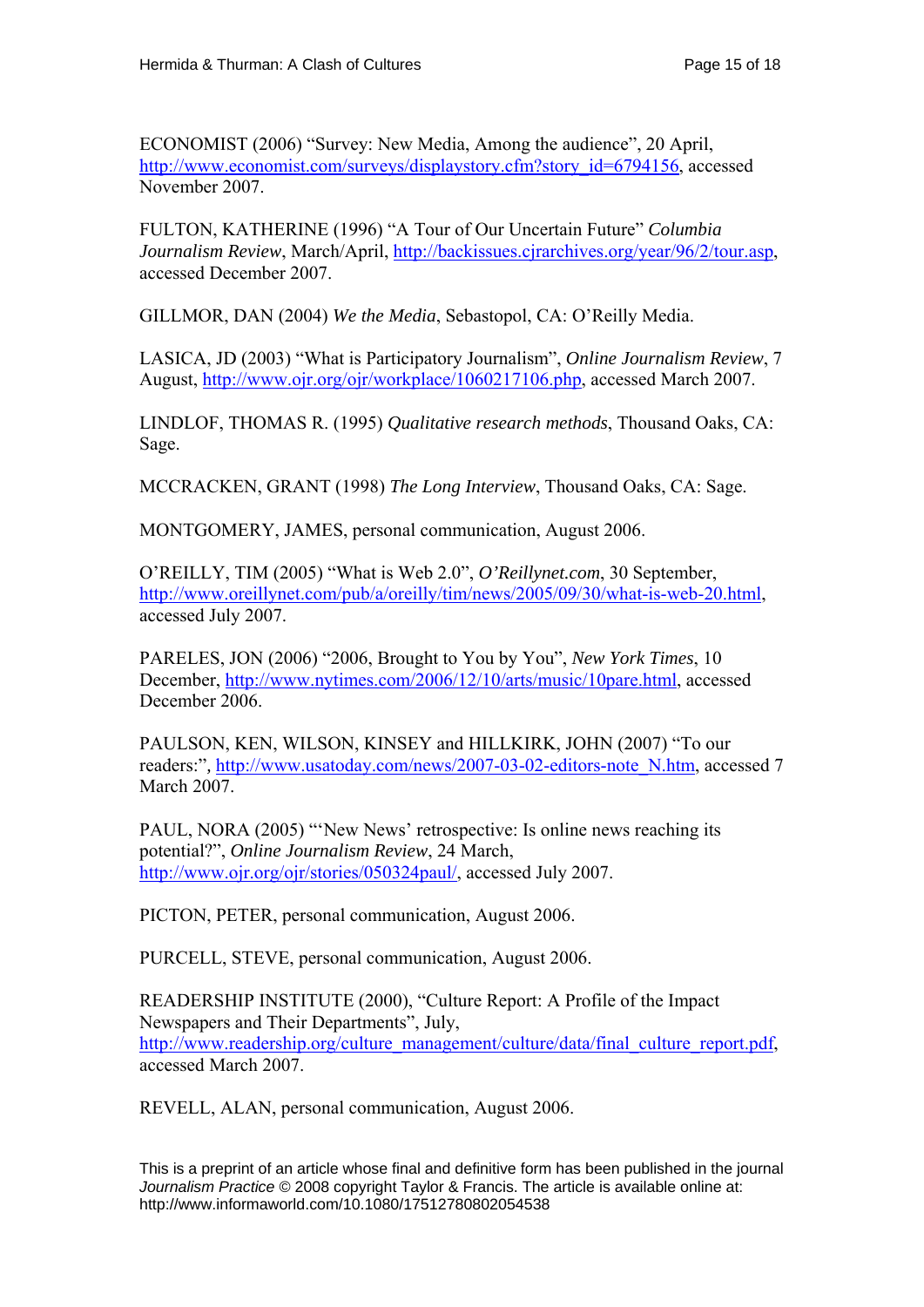ECONOMIST (2006) "Survey: New Media, Among the audience", 20 April, [http://www.economist.com/surveys/displaystory.cfm?story\\_id=6794156,](http://www.economist.com/surveys/displaystory.cfm?story_id=6794156) accessed November 2007.

FULTON, KATHERINE (1996) "A Tour of Our Uncertain Future" *Columbia Journalism Review*, March/April, [http://backissues.cjrarchives.org/year/96/2/tour.asp,](http://backissues.cjrarchives.org/year/96/2/tour.asp) accessed December 2007.

GILLMOR, DAN (2004) *We the Media*, Sebastopol, CA: O'Reilly Media.

LASICA, JD (2003) "What is Participatory Journalism", *Online Journalism Review*, 7 August, [http://www.ojr.org/ojr/workplace/1060217106.php,](http://www.ojr.org/ojr/workplace/1060217106.php) accessed March 2007.

LINDLOF, THOMAS R. (1995) *Qualitative research methods*, Thousand Oaks, CA: Sage.

MCCRACKEN, GRANT (1998) *The Long Interview*, Thousand Oaks, CA: Sage.

MONTGOMERY, JAMES, personal communication, August 2006.

O'REILLY, TIM (2005) "What is Web 2.0", *O'Reillynet.com*, 30 September, [http://www.oreillynet.com/pub/a/oreilly/tim/news/2005/09/30/what-is-web-20.html,](http://www.oreillynet.com/pub/a/oreilly/tim/news/2005/09/30/what-is-web-20.html) accessed July 2007.

PARELES, JON (2006) "2006, Brought to You by You", *New York Times*, 10 December,<http://www.nytimes.com/2006/12/10/arts/music/10pare.html>, accessed December 2006.

PAULSON, KEN, WILSON, KINSEY and HILLKIRK, JOHN (2007) "To our readers:"*,* [http://www.usatoday.com/news/2007-03-02-editors-note\\_N.htm](http://www.usatoday.com/news/2007-03-02-editors-note_N.htm), accessed 7 March 2007.

PAUL, NORA (2005) "'New News' retrospective: Is online news reaching its potential?", *Online Journalism Review*, 24 March, [http://www.ojr.org/ojr/stories/050324paul/,](http://www.ojr.org/ojr/stories/050324paul/) accessed July 2007.

PICTON, PETER, personal communication, August 2006.

PURCELL, STEVE, personal communication, August 2006.

READERSHIP INSTITUTE (2000), "Culture Report: A Profile of the Impact Newspapers and Their Departments", July, [http://www.readership.org/culture\\_management/culture/data/final\\_culture\\_report.pdf,](http://www.readership.org/culture_management/culture/data/final_culture_report.pdf) accessed March 2007.

REVELL, ALAN, personal communication, August 2006.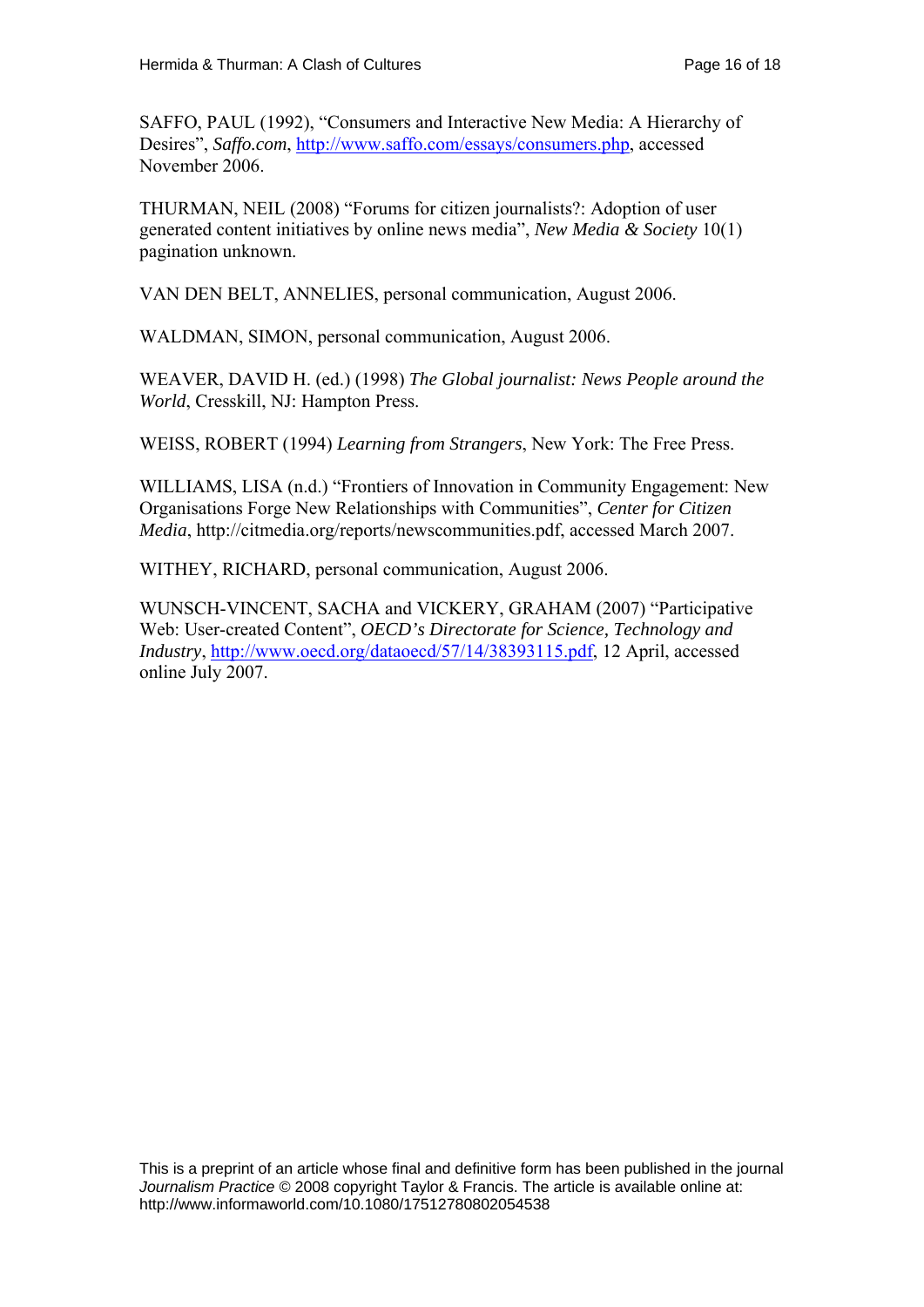SAFFO, PAUL (1992), "Consumers and Interactive New Media: A Hierarchy of Desires", *Saffo.com*, [http://www.saffo.com/essays/consumers.php,](http://www.saffo.com/essays/consumers.php) accessed November 2006.

THURMAN, NEIL (2008) "Forums for citizen journalists?: Adoption of user generated content initiatives by online news media", *New Media & Society* 10(1) pagination unknown.

VAN DEN BELT, ANNELIES, personal communication, August 2006.

WALDMAN, SIMON, personal communication, August 2006.

WEAVER, DAVID H. (ed.) (1998) *The Global journalist: News People around the World*, Cresskill, NJ: Hampton Press.

WEISS, ROBERT (1994) *Learning from Strangers*, New York: The Free Press.

WILLIAMS, LISA (n.d.) "Frontiers of Innovation in Community Engagement: New Organisations Forge New Relationships with Communities", *Center for Citizen Media*, http://citmedia.org/reports/newscommunities.pdf, accessed March 2007.

WITHEY, RICHARD, personal communication, August 2006.

WUNSCH-VINCENT, SACHA and VICKERY, GRAHAM (2007) "Participative Web: User-created Content", *OECD's Directorate for Science, Technology and Industry*, <http://www.oecd.org/dataoecd/57/14/38393115.pdf>, 12 April, accessed online July 2007.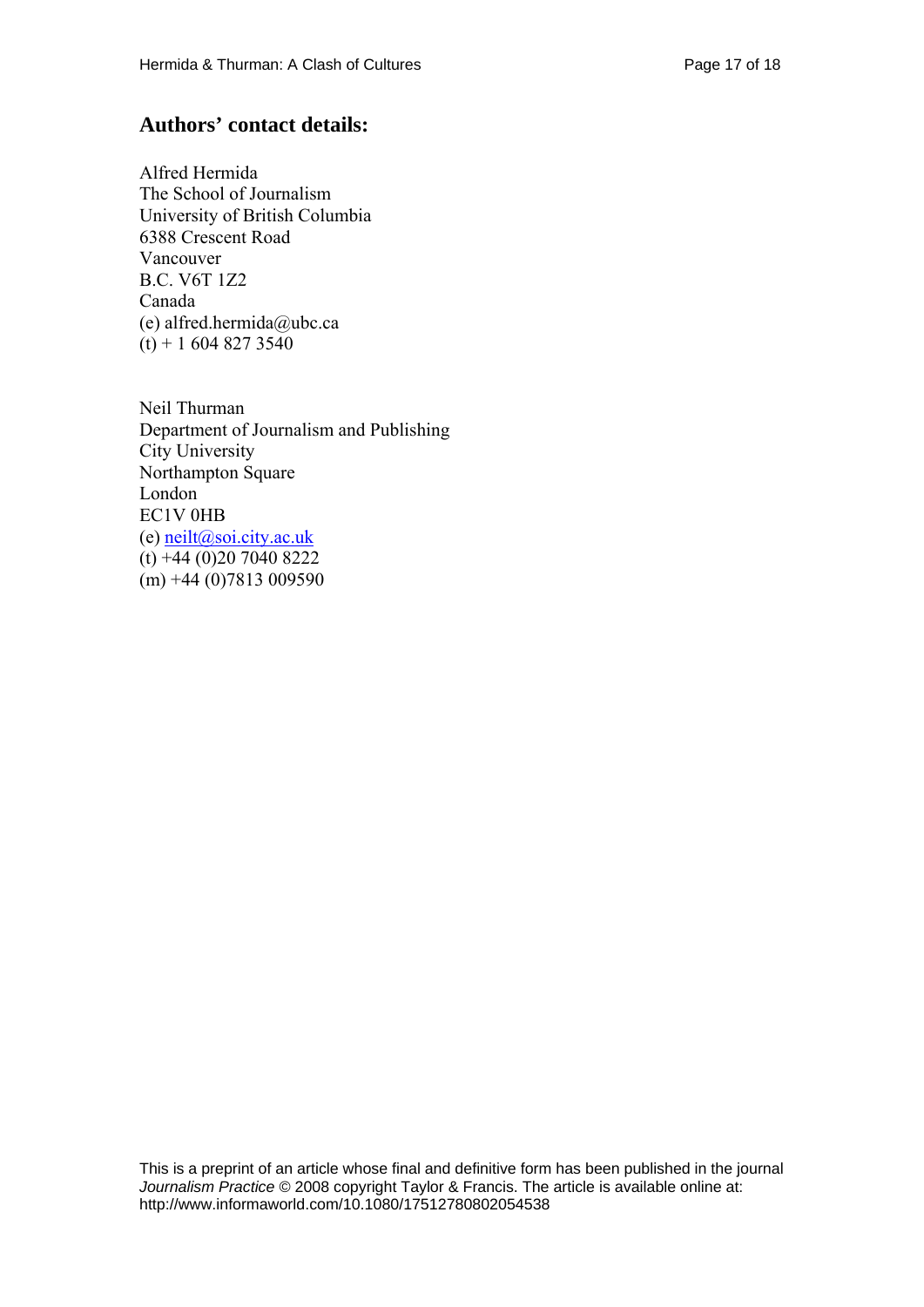## **Authors' contact details:**

Alfred Hermida The School of Journalism University of British Columbia 6388 Crescent Road Vancouver B.C. V6T 1Z2 Canada (e) alfred.hermida@ubc.ca  $(t) + 16048273540$ 

Neil Thurman Department of Journalism and Publishing City University Northampton Square London EC1V 0HB (e)  $neilt@soi.city.ac.uk$ (t) +44 (0)20 7040 8222 (m) +44 (0)7813 009590